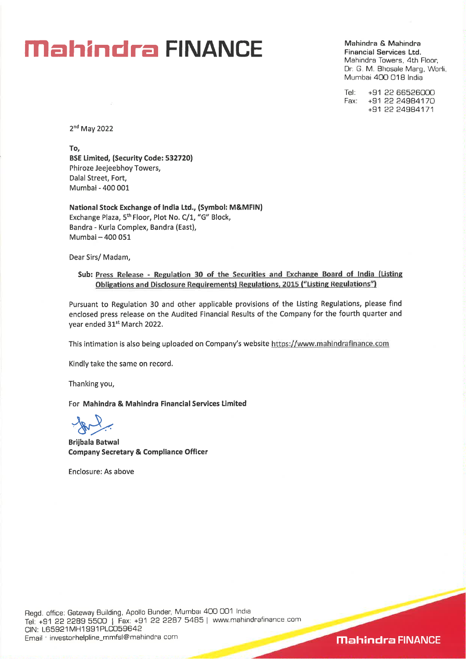Mahindra & Mahindra Financial Services Ltd. Mahindra Towers, 4th Floor, Dr. G. M. Bhosale Marg, Worli, Mumbai 400 018 India

Tel: +91 22 66526000<br>Fax: +91 22 24984170 Fax: +91 22 24984170 +91 22 24984171

2nd May 2022

To, BSE Limited, (Security Code: 532720) Phiroze Jeejeebhoy Towers, Dalai Street, Fort, Mumbai - 400 001

National Stock Exchange of India Ltd., (Symbol: M&MFIN) Exchange Plaza, 5<sup>th</sup> Floor, Plot No. C/1, "G" Block, Bandra - Kuria Complex, Bandra (East), Mumbai — 400 051

Dear Sirs/ Madam,

### Sub: Press Release - Regulation 30 of the Securities and Exchange Board of India (Listing Obligations and Disclosure Requirements) Regulations, 2015 ("Listing Regulations")

Pursuant to Regulation 30 and other applicable provisions of the Listing Regulations, please find enclosed press release on the Audited Financial Results of the Company for the fourth quarter and year ended 31st March 2022.

This intimation is also being uploaded on Company's website https://www.mahindrafinance.com

Kindly take the same on record.

Thanking you,

For Mahindra & Mahindra Financial Services Limited

Brijbala Batwal Company Secretary & Compliance Officer

Enclosure: As above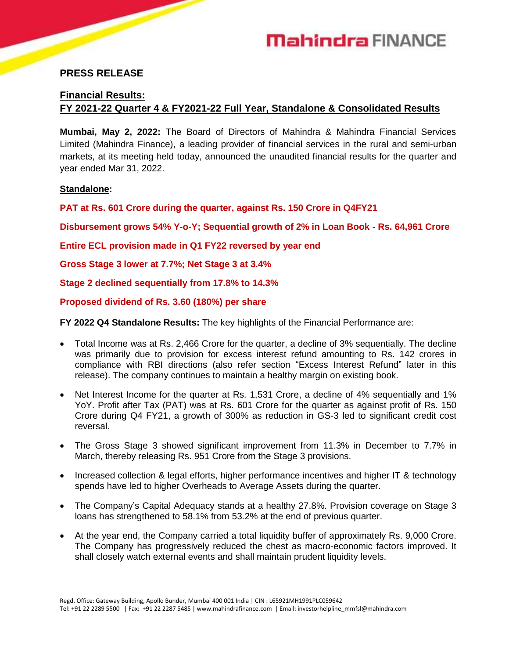

# **PRESS RELEASE**

# **Financial Results:**

# **FY 2021-22 Quarter 4 & FY2021-22 Full Year, Standalone & Consolidated Results**

**Mumbai, May 2, 2022:** The Board of Directors of Mahindra & Mahindra Financial Services Limited (Mahindra Finance), a leading provider of financial services in the rural and semi-urban markets, at its meeting held today, announced the unaudited financial results for the quarter and year ended Mar 31, 2022.

### **Standalone:**

**PAT at Rs. 601 Crore during the quarter, against Rs. 150 Crore in Q4FY21**

**Disbursement grows 54% Y-o-Y; Sequential growth of 2% in Loan Book - Rs. 64,961 Crore**

**Entire ECL provision made in Q1 FY22 reversed by year end**

**Gross Stage 3 lower at 7.7%; Net Stage 3 at 3.4%**

**Stage 2 declined sequentially from 17.8% to 14.3%**

**Proposed dividend of Rs. 3.60 (180%) per share** 

**FY 2022 Q4 Standalone Results:** The key highlights of the Financial Performance are:

- Total Income was at Rs. 2,466 Crore for the quarter, a decline of 3% sequentially. The decline was primarily due to provision for excess interest refund amounting to Rs. 142 crores in compliance with RBI directions (also refer section "Excess Interest Refund" later in this release). The company continues to maintain a healthy margin on existing book.
- Net Interest Income for the quarter at Rs. 1,531 Crore, a decline of 4% sequentially and 1% YoY. Profit after Tax (PAT) was at Rs. 601 Crore for the quarter as against profit of Rs. 150 Crore during Q4 FY21, a growth of 300% as reduction in GS-3 led to significant credit cost reversal.
- The Gross Stage 3 showed significant improvement from 11.3% in December to 7.7% in March, thereby releasing Rs. 951 Crore from the Stage 3 provisions.
- Increased collection & legal efforts, higher performance incentives and higher IT & technology spends have led to higher Overheads to Average Assets during the quarter.
- The Company's Capital Adequacy stands at a healthy 27.8%. Provision coverage on Stage 3 loans has strengthened to 58.1% from 53.2% at the end of previous quarter.
- At the year end, the Company carried a total liquidity buffer of approximately Rs. 9,000 Crore. The Company has progressively reduced the chest as macro-economic factors improved. It shall closely watch external events and shall maintain prudent liquidity levels.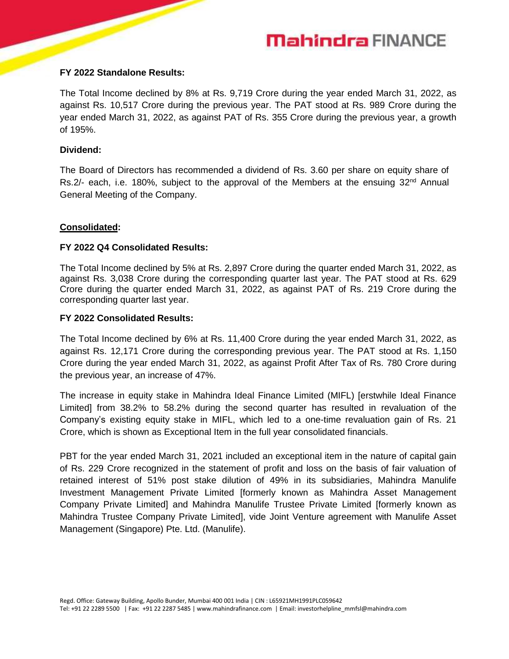### **FY 2022 Standalone Results:**

The Total Income declined by 8% at Rs. 9,719 Crore during the year ended March 31, 2022, as against Rs. 10,517 Crore during the previous year. The PAT stood at Rs. 989 Crore during the year ended March 31, 2022, as against PAT of Rs. 355 Crore during the previous year, a growth of 195%.

# **Dividend:**

The Board of Directors has recommended a dividend of Rs. 3.60 per share on equity share of Rs.2/- each, i.e. 180%, subject to the approval of the Members at the ensuing  $32<sup>nd</sup>$  Annual General Meeting of the Company.

# **Consolidated:**

# **FY 2022 Q4 Consolidated Results:**

The Total Income declined by 5% at Rs. 2,897 Crore during the quarter ended March 31, 2022, as against Rs. 3,038 Crore during the corresponding quarter last year. The PAT stood at Rs. 629 Crore during the quarter ended March 31, 2022, as against PAT of Rs. 219 Crore during the corresponding quarter last year.

# **FY 2022 Consolidated Results:**

The Total Income declined by 6% at Rs. 11,400 Crore during the year ended March 31, 2022, as against Rs. 12,171 Crore during the corresponding previous year. The PAT stood at Rs. 1,150 Crore during the year ended March 31, 2022, as against Profit After Tax of Rs. 780 Crore during the previous year, an increase of 47%.

The increase in equity stake in Mahindra Ideal Finance Limited (MIFL) [erstwhile Ideal Finance Limited] from 38.2% to 58.2% during the second quarter has resulted in revaluation of the Company's existing equity stake in MIFL, which led to a one-time revaluation gain of Rs. 21 Crore, which is shown as Exceptional Item in the full year consolidated financials.

PBT for the year ended March 31, 2021 included an exceptional item in the nature of capital gain of Rs. 229 Crore recognized in the statement of profit and loss on the basis of fair valuation of retained interest of 51% post stake dilution of 49% in its subsidiaries, Mahindra Manulife Investment Management Private Limited [formerly known as Mahindra Asset Management Company Private Limited] and Mahindra Manulife Trustee Private Limited [formerly known as Mahindra Trustee Company Private Limited], vide Joint Venture agreement with Manulife Asset Management (Singapore) Pte. Ltd. (Manulife).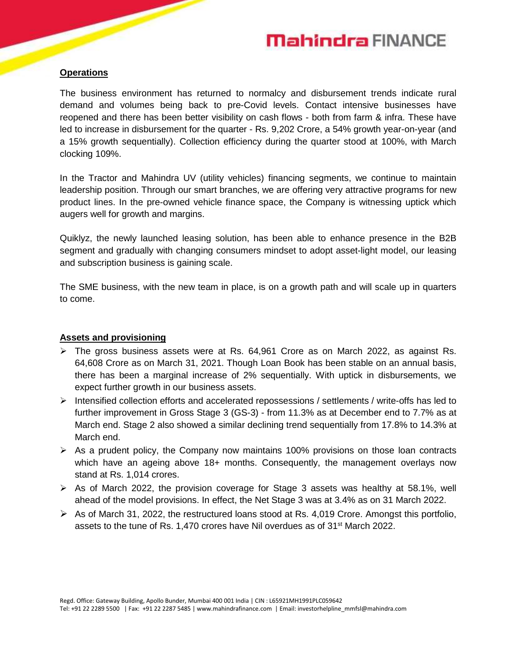# **Operations**

The business environment has returned to normalcy and disbursement trends indicate rural demand and volumes being back to pre-Covid levels. Contact intensive businesses have reopened and there has been better visibility on cash flows - both from farm & infra. These have led to increase in disbursement for the quarter - Rs. 9,202 Crore, a 54% growth year-on-year (and a 15% growth sequentially). Collection efficiency during the quarter stood at 100%, with March clocking 109%.

In the Tractor and Mahindra UV (utility vehicles) financing segments, we continue to maintain leadership position. Through our smart branches, we are offering very attractive programs for new product lines. In the pre-owned vehicle finance space, the Company is witnessing uptick which augers well for growth and margins.

Quiklyz, the newly launched leasing solution, has been able to enhance presence in the B2B segment and gradually with changing consumers mindset to adopt asset-light model, our leasing and subscription business is gaining scale.

The SME business, with the new team in place, is on a growth path and will scale up in quarters to come.

# **Assets and provisioning**

- $\triangleright$  The gross business assets were at Rs. 64,961 Crore as on March 2022, as against Rs. 64,608 Crore as on March 31, 2021. Though Loan Book has been stable on an annual basis, there has been a marginal increase of 2% sequentially. With uptick in disbursements, we expect further growth in our business assets.
- $\triangleright$  Intensified collection efforts and accelerated repossessions / settlements / write-offs has led to further improvement in Gross Stage 3 (GS-3) - from 11.3% as at December end to 7.7% as at March end. Stage 2 also showed a similar declining trend sequentially from 17.8% to 14.3% at March end.
- $\triangleright$  As a prudent policy, the Company now maintains 100% provisions on those loan contracts which have an ageing above 18+ months. Consequently, the management overlays now stand at Rs. 1,014 crores.
- $\triangleright$  As of March 2022, the provision coverage for Stage 3 assets was healthy at 58.1%, well ahead of the model provisions. In effect, the Net Stage 3 was at 3.4% as on 31 March 2022.
- $\triangleright$  As of March 31, 2022, the restructured loans stood at Rs. 4,019 Crore. Amongst this portfolio, assets to the tune of Rs. 1,470 crores have Nil overdues as of  $31<sup>st</sup>$  March 2022.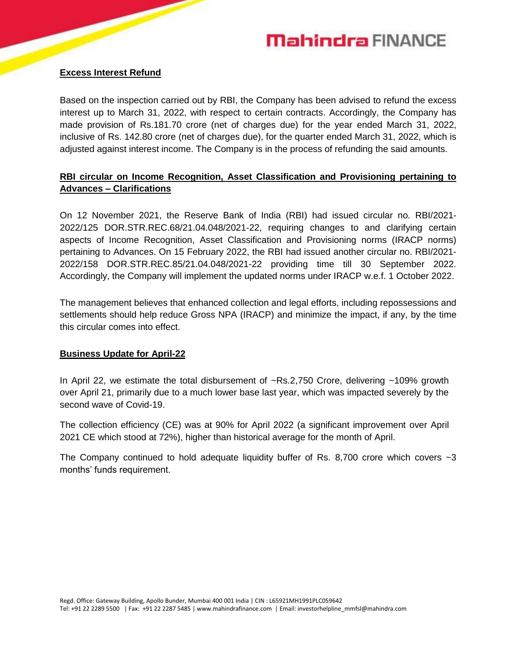# **Excess Interest Refund**

Based on the inspection carried out by RBI, the Company has been advised to refund the excess interest up to March 31, 2022, with respect to certain contracts. Accordingly, the Company has made provision of Rs.181.70 crore (net of charges due) for the year ended March 31, 2022, inclusive of Rs. 142.80 crore (net of charges due), for the quarter ended March 31, 2022, which is adjusted against interest income. The Company is in the process of refunding the said amounts.

# **RBI circular on Income Recognition, Asset Classification and Provisioning pertaining to Advances – Clarifications**

On 12 November 2021, the Reserve Bank of India (RBI) had issued circular no. RBI/2021- 2022/125 DOR.STR.REC.68/21.04.048/2021-22, requiring changes to and clarifying certain aspects of Income Recognition, Asset Classification and Provisioning norms (IRACP norms) pertaining to Advances. On 15 February 2022, the RBI had issued another circular no. RBI/2021- 2022/158 DOR.STR.REC.85/21.04.048/2021-22 providing time till 30 September 2022. Accordingly, the Company will implement the updated norms under IRACP w.e.f. 1 October 2022.

The management believes that enhanced collection and legal efforts, including repossessions and settlements should help reduce Gross NPA (IRACP) and minimize the impact, if any, by the time this circular comes into effect.

# **Business Update for April-22**

In April 22, we estimate the total disbursement of ~Rs.2,750 Crore, delivering ~109% growth over April 21, primarily due to a much lower base last year, which was impacted severely by the second wave of Covid-19.

The collection efficiency (CE) was at 90% for April 2022 (a significant improvement over April 2021 CE which stood at 72%), higher than historical average for the month of April.

The Company continued to hold adequate liquidity buffer of Rs. 8,700 crore which covers  $\sim$ 3 months' funds requirement.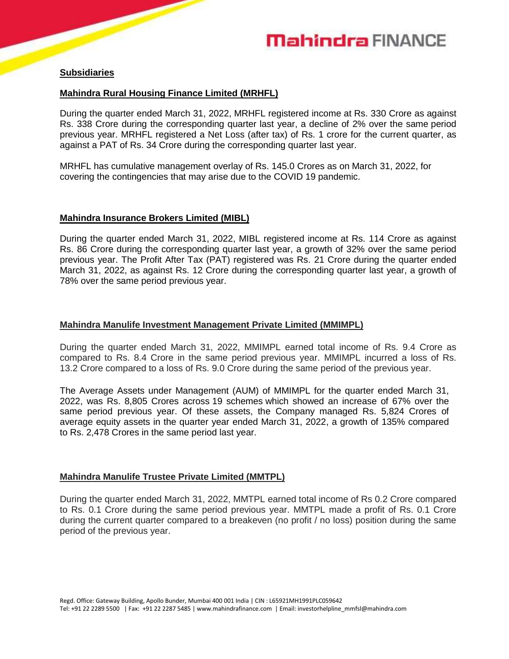

# **Subsidiaries**

# **Mahindra Rural Housing Finance Limited (MRHFL)**

During the quarter ended March 31, 2022, MRHFL registered income at Rs. 330 Crore as against Rs. 338 Crore during the corresponding quarter last year, a decline of 2% over the same period previous year. MRHFL registered a Net Loss (after tax) of Rs. 1 crore for the current quarter, as against a PAT of Rs. 34 Crore during the corresponding quarter last year.

MRHFL has cumulative management overlay of Rs. 145.0 Crores as on March 31, 2022, for covering the contingencies that may arise due to the COVID 19 pandemic.

### **Mahindra Insurance Brokers Limited (MIBL)**

During the quarter ended March 31, 2022, MIBL registered income at Rs. 114 Crore as against Rs. 86 Crore during the corresponding quarter last year, a growth of 32% over the same period previous year. The Profit After Tax (PAT) registered was Rs. 21 Crore during the quarter ended March 31, 2022, as against Rs. 12 Crore during the corresponding quarter last year, a growth of 78% over the same period previous year.

#### **Mahindra Manulife Investment Management Private Limited (MMIMPL)**

During the quarter ended March 31, 2022, MMIMPL earned total income of Rs. 9.4 Crore as compared to Rs. 8.4 Crore in the same period previous year. MMIMPL incurred a loss of Rs. 13.2 Crore compared to a loss of Rs. 9.0 Crore during the same period of the previous year.

The Average Assets under Management (AUM) of MMIMPL for the quarter ended March 31, 2022, was Rs. 8,805 Crores across 19 schemes which showed an increase of 67% over the same period previous year. Of these assets, the Company managed Rs. 5,824 Crores of average equity assets in the quarter year ended March 31, 2022, a growth of 135% compared to Rs. 2,478 Crores in the same period last year.

### **Mahindra Manulife Trustee Private Limited (MMTPL)**

During the quarter ended March 31, 2022, MMTPL earned total income of Rs 0.2 Crore compared to Rs. 0.1 Crore during the same period previous year. MMTPL made a profit of Rs. 0.1 Crore during the current quarter compared to a breakeven (no profit / no loss) position during the same period of the previous year.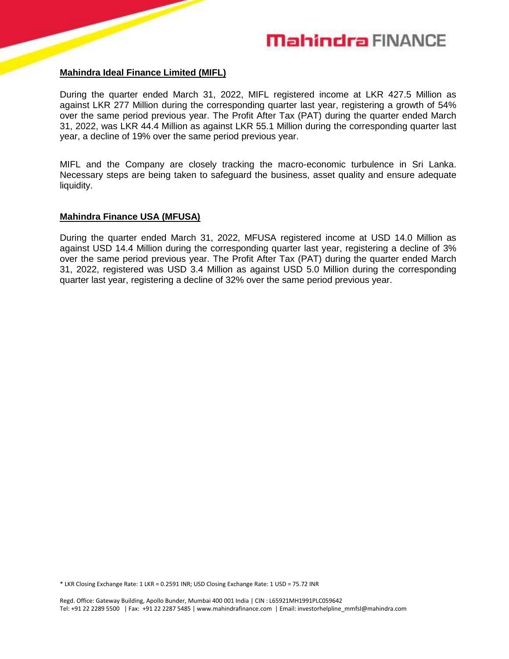#### **Mahindra Ideal Finance Limited (MIFL)**

During the quarter ended March 31, 2022, MIFL registered income at LKR 427.5 Million as against LKR 277 Million during the corresponding quarter last year, registering a growth of 54% over the same period previous year. The Profit After Tax (PAT) during the quarter ended March 31, 2022, was LKR 44.4 Million as against LKR 55.1 Million during the corresponding quarter last year, a decline of 19% over the same period previous year.

MIFL and the Company are closely tracking the macro-economic turbulence in Sri Lanka. Necessary steps are being taken to safeguard the business, asset quality and ensure adequate liquidity.

#### **Mahindra Finance USA (MFUSA)**

During the quarter ended March 31, 2022, MFUSA registered income at USD 14.0 Million as against USD 14.4 Million during the corresponding quarter last year, registering a decline of 3% over the same period previous year. The Profit After Tax (PAT) during the quarter ended March 31, 2022, registered was USD 3.4 Million as against USD 5.0 Million during the corresponding quarter last year, registering a decline of 32% over the same period previous year.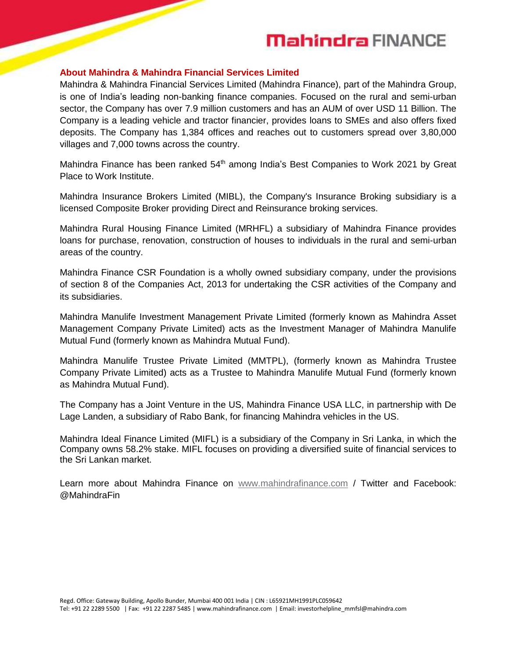#### **About Mahindra & Mahindra Financial Services Limited**

Mahindra & Mahindra Financial Services Limited (Mahindra Finance), part of the Mahindra Group, is one of India's leading non-banking finance companies. Focused on the rural and semi-urban sector, the Company has over 7.9 million customers and has an AUM of over USD 11 Billion. The Company is a leading vehicle and tractor financier, provides loans to SMEs and also offers fixed deposits. The Company has 1,384 offices and reaches out to customers spread over 3,80,000 villages and 7,000 towns across the country.

Mahindra Finance has been ranked 54<sup>th</sup> among India's Best Companies to Work 2021 by Great Place to Work Institute.

Mahindra Insurance Brokers Limited (MIBL), the Company's Insurance Broking subsidiary is a licensed Composite Broker providing Direct and Reinsurance broking services.

Mahindra Rural Housing Finance Limited (MRHFL) a subsidiary of Mahindra Finance provides loans for purchase, renovation, construction of houses to individuals in the rural and semi-urban areas of the country.

Mahindra Finance CSR Foundation is a wholly owned subsidiary company, under the provisions of section 8 of the Companies Act, 2013 for undertaking the CSR activities of the Company and its subsidiaries.

Mahindra Manulife Investment Management Private Limited (formerly known as Mahindra Asset Management Company Private Limited) acts as the Investment Manager of Mahindra Manulife Mutual Fund (formerly known as Mahindra Mutual Fund).

Mahindra Manulife Trustee Private Limited (MMTPL), (formerly known as Mahindra Trustee Company Private Limited) acts as a Trustee to Mahindra Manulife Mutual Fund (formerly known as Mahindra Mutual Fund).

The Company has a Joint Venture in the US, Mahindra Finance USA LLC, in partnership with De Lage Landen, a subsidiary of Rabo Bank, for financing Mahindra vehicles in the US.

Mahindra Ideal Finance Limited (MIFL) is a subsidiary of the Company in Sri Lanka, in which the Company owns 58.2% stake. MIFL focuses on providing a diversified suite of financial services to the Sri Lankan market.

Learn more about Mahindra Finance on [www.mahindrafinance.com](http://www.mahindrafinance.com/) / Twitter and Facebook: @MahindraFin